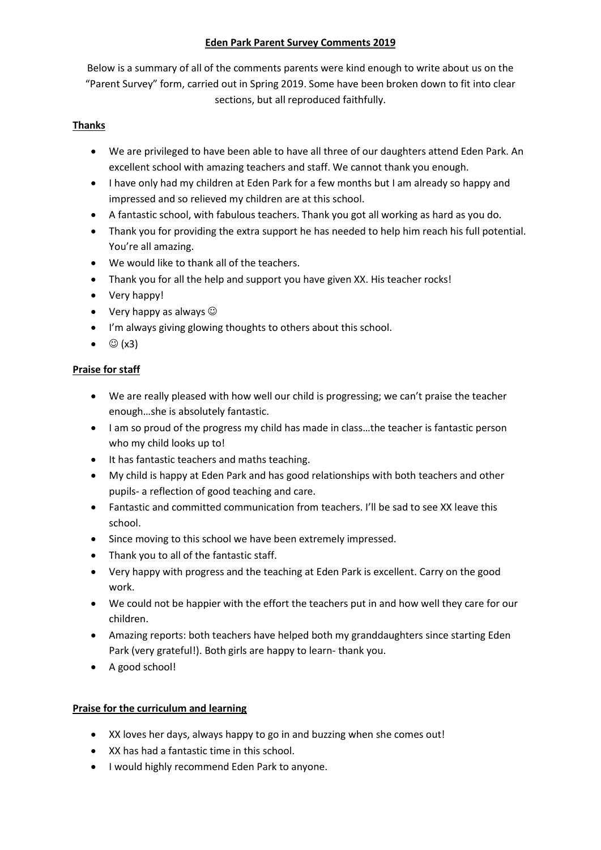# **Eden Park Parent Survey Comments 2019**

Below is a summary of all of the comments parents were kind enough to write about us on the "Parent Survey" form, carried out in Spring 2019. Some have been broken down to fit into clear sections, but all reproduced faithfully.

## **Thanks**

- We are privileged to have been able to have all three of our daughters attend Eden Park. An excellent school with amazing teachers and staff. We cannot thank you enough.
- I have only had my children at Eden Park for a few months but I am already so happy and impressed and so relieved my children are at this school.
- A fantastic school, with fabulous teachers. Thank you got all working as hard as you do.
- Thank you for providing the extra support he has needed to help him reach his full potential. You're all amazing.
- We would like to thank all of the teachers.
- Thank you for all the help and support you have given XX. His teacher rocks!
- Very happy!
- Very happy as always  $\odot$
- I'm always giving glowing thoughts to others about this school.
- $\bullet$   $\odot$  (x3)

# **Praise for staff**

- We are really pleased with how well our child is progressing; we can't praise the teacher enough…she is absolutely fantastic.
- I am so proud of the progress my child has made in class...the teacher is fantastic person who my child looks up to!
- It has fantastic teachers and maths teaching.
- My child is happy at Eden Park and has good relationships with both teachers and other pupils- a reflection of good teaching and care.
- Fantastic and committed communication from teachers. I'll be sad to see XX leave this school.
- Since moving to this school we have been extremely impressed.
- Thank you to all of the fantastic staff.
- Very happy with progress and the teaching at Eden Park is excellent. Carry on the good work.
- We could not be happier with the effort the teachers put in and how well they care for our children.
- Amazing reports: both teachers have helped both my granddaughters since starting Eden Park (very grateful!). Both girls are happy to learn- thank you.
- A good school!

### **Praise for the curriculum and learning**

- XX loves her days, always happy to go in and buzzing when she comes out!
- XX has had a fantastic time in this school.
- I would highly recommend Eden Park to anyone.